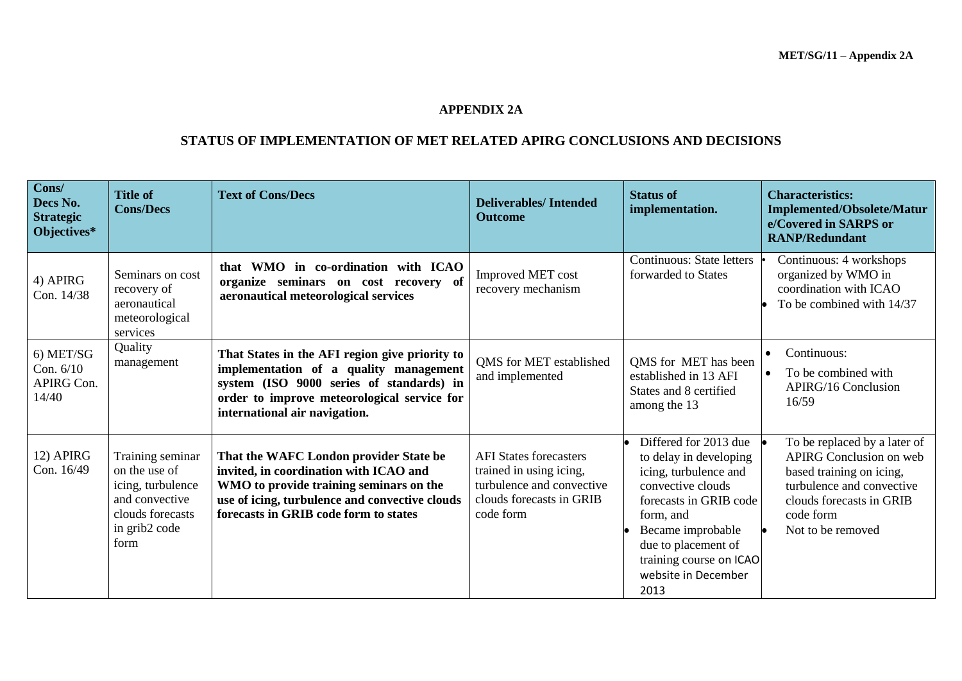## **APPENDIX 2A**

## **STATUS OF IMPLEMENTATION OF MET RELATED APIRG CONCLUSIONS AND DECISIONS**

| Cons/<br>Decs No.<br><b>Strategic</b><br>Objectives* | <b>Title of</b><br><b>Cons/Decs</b>                                                                                   | <b>Text of Cons/Decs</b>                                                                                                                                                                                               | <b>Deliverables/Intended</b><br><b>Outcome</b>                                                                                 | <b>Status of</b><br>implementation.                                                                                                                                                                                                        | <b>Characteristics:</b><br><b>Implemented/Obsolete/Matur</b><br>e/Covered in SARPS or<br><b>RANP/Redundant</b>                                                                        |
|------------------------------------------------------|-----------------------------------------------------------------------------------------------------------------------|------------------------------------------------------------------------------------------------------------------------------------------------------------------------------------------------------------------------|--------------------------------------------------------------------------------------------------------------------------------|--------------------------------------------------------------------------------------------------------------------------------------------------------------------------------------------------------------------------------------------|---------------------------------------------------------------------------------------------------------------------------------------------------------------------------------------|
| 4) APIRG<br>Con. 14/38                               | Seminars on cost<br>recovery of<br>aeronautical<br>meteorological<br>services                                         | that WMO in co-ordination with ICAO<br>organize seminars on cost recovery of<br>aeronautical meteorological services                                                                                                   | <b>Improved MET cost</b><br>recovery mechanism                                                                                 | Continuous: State letters<br>forwarded to States                                                                                                                                                                                           | Continuous: 4 workshops<br>organized by WMO in<br>coordination with ICAO<br>To be combined with 14/37                                                                                 |
| 6) MET/SG<br>Con. 6/10<br>APIRG Con.<br>14/40        | Quality<br>management                                                                                                 | That States in the AFI region give priority to<br>implementation of a quality management<br>system (ISO 9000 series of standards) in<br>order to improve meteorological service for<br>international air navigation.   | QMS for MET established<br>and implemented                                                                                     | OMS for MET has been<br>established in 13 AFI<br>States and 8 certified<br>among the 13                                                                                                                                                    | Continuous:<br>To be combined with<br><b>APIRG/16 Conclusion</b><br>16/59                                                                                                             |
| 12) APIRG<br>Con. 16/49                              | Training seminar<br>on the use of<br>icing, turbulence<br>and convective<br>clouds forecasts<br>in grib2 code<br>form | That the WAFC London provider State be<br>invited, in coordination with ICAO and<br>WMO to provide training seminars on the<br>use of icing, turbulence and convective clouds<br>forecasts in GRIB code form to states | <b>AFI</b> States forecasters<br>trained in using icing,<br>turbulence and convective<br>clouds forecasts in GRIB<br>code form | Differed for 2013 due<br>to delay in developing<br>icing, turbulence and<br>convective clouds<br>forecasts in GRIB code<br>form, and<br>Became improbable<br>due to placement of<br>training course on ICAO<br>website in December<br>2013 | To be replaced by a later of<br><b>APIRG Conclusion on web</b><br>based training on icing,<br>turbulence and convective<br>clouds forecasts in GRIB<br>code form<br>Not to be removed |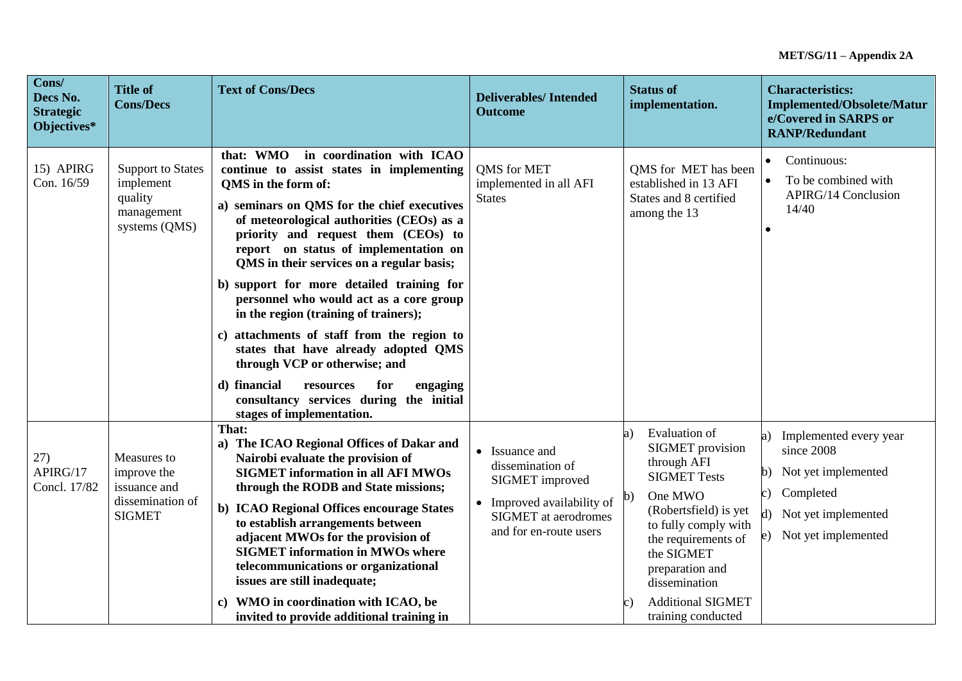| Cons/<br>Decs No.<br><b>Strategic</b><br>Objectives* | <b>Title of</b><br><b>Cons/Decs</b>                                             | <b>Text of Cons/Decs</b>                                                                                                                                                                                                                                                                                                                                                                                                                                                                                                                                                                                                                                                                                                   | <b>Deliverables/Intended</b><br><b>Outcome</b>                                                                                      | <b>Status of</b><br>implementation.                                                                                                                                                                                                                                                         | <b>Characteristics:</b><br><b>Implemented/Obsolete/Matur</b><br>e/Covered in SARPS or<br><b>RANP/Redundant</b>                                             |
|------------------------------------------------------|---------------------------------------------------------------------------------|----------------------------------------------------------------------------------------------------------------------------------------------------------------------------------------------------------------------------------------------------------------------------------------------------------------------------------------------------------------------------------------------------------------------------------------------------------------------------------------------------------------------------------------------------------------------------------------------------------------------------------------------------------------------------------------------------------------------------|-------------------------------------------------------------------------------------------------------------------------------------|---------------------------------------------------------------------------------------------------------------------------------------------------------------------------------------------------------------------------------------------------------------------------------------------|------------------------------------------------------------------------------------------------------------------------------------------------------------|
| 15) APIRG<br>Con. 16/59                              | <b>Support to States</b><br>implement<br>quality<br>management<br>systems (QMS) | in coordination with ICAO<br>that: WMO<br>continue to assist states in implementing<br><b>OMS</b> in the form of:<br>a) seminars on QMS for the chief executives<br>of meteorological authorities (CEOs) as a<br>priority and request them (CEOs) to<br>report on status of implementation on<br>QMS in their services on a regular basis;<br>b) support for more detailed training for<br>personnel who would act as a core group<br>in the region (training of trainers);<br>c) attachments of staff from the region to<br>states that have already adopted QMS<br>through VCP or otherwise; and<br>d) financial<br>resources<br>for<br>engaging<br>consultancy services during the initial<br>stages of implementation. | <b>QMS</b> for MET<br>implemented in all AFI<br><b>States</b>                                                                       | QMS for MET has been<br>established in 13 AFI<br>States and 8 certified<br>among the 13                                                                                                                                                                                                     | Continuous:<br>To be combined with<br><b>APIRG/14 Conclusion</b><br>14/40                                                                                  |
| 27)<br>APIRG/17<br>Concl. 17/82                      | Measures to<br>improve the<br>issuance and<br>dissemination of<br><b>SIGMET</b> | That:<br>a) The ICAO Regional Offices of Dakar and<br>Nairobi evaluate the provision of<br><b>SIGMET information in all AFI MWOs</b><br>through the RODB and State missions;<br>b) ICAO Regional Offices encourage States<br>to establish arrangements between<br>adjacent MWOs for the provision of<br><b>SIGMET</b> information in MWOs where<br>telecommunications or organizational<br>issues are still inadequate;<br>c) WMO in coordination with ICAO, be<br>invited to provide additional training in                                                                                                                                                                                                               | • Issuance and<br>dissemination of<br>SIGMET improved<br>Improved availability of<br>SIGMET at aerodromes<br>and for en-route users | Evaluation of<br>a)<br><b>SIGMET</b> provision<br>through AFI<br><b>SIGMET Tests</b><br>One MWO<br>$\mathbf{b}$<br>(Robertsfield) is yet<br>to fully comply with<br>the requirements of<br>the SIGMET<br>preparation and<br>dissemination<br><b>Additional SIGMET</b><br>training conducted | Implemented every year<br>la)<br>since 2008<br>Not yet implemented<br>b)<br>Completed<br>$\mathbf{c})$<br>Not yet implemented<br>d)<br>Not yet implemented |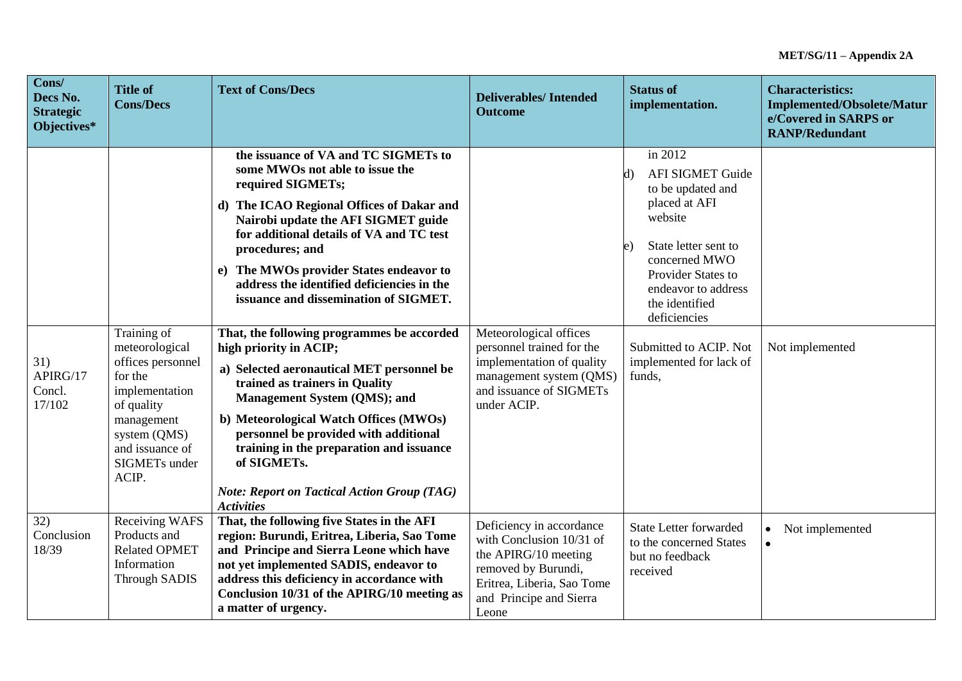| Cons/<br>Decs No.<br><b>Strategic</b><br>Objectives* | <b>Title of</b><br><b>Cons/Decs</b>                                                                                                                                      | <b>Text of Cons/Decs</b>                                                                                                                                                                                                                                                                                                                                                                                                                                                                                                                                                                                                                                                                                                                                                                                 | <b>Deliverables/Intended</b><br><b>Outcome</b>                                                                                                                        | <b>Status of</b><br>implementation.                                                                                                                                                                                                                                                    | <b>Characteristics:</b><br><b>Implemented/Obsolete/Matur</b><br>e/Covered in SARPS or<br><b>RANP/Redundant</b> |
|------------------------------------------------------|--------------------------------------------------------------------------------------------------------------------------------------------------------------------------|----------------------------------------------------------------------------------------------------------------------------------------------------------------------------------------------------------------------------------------------------------------------------------------------------------------------------------------------------------------------------------------------------------------------------------------------------------------------------------------------------------------------------------------------------------------------------------------------------------------------------------------------------------------------------------------------------------------------------------------------------------------------------------------------------------|-----------------------------------------------------------------------------------------------------------------------------------------------------------------------|----------------------------------------------------------------------------------------------------------------------------------------------------------------------------------------------------------------------------------------------------------------------------------------|----------------------------------------------------------------------------------------------------------------|
| 31)<br>APIRG/17<br>Concl.<br>17/102                  | Training of<br>meteorological<br>offices personnel<br>for the<br>implementation<br>of quality<br>management<br>system (QMS)<br>and issuance of<br>SIGMETs under<br>ACIP. | the issuance of VA and TC SIGMETs to<br>some MWOs not able to issue the<br>required SIGMETs;<br>d) The ICAO Regional Offices of Dakar and<br>Nairobi update the AFI SIGMET guide<br>for additional details of VA and TC test<br>procedures; and<br>e) The MWOs provider States endeavor to<br>address the identified deficiencies in the<br>issuance and dissemination of SIGMET.<br>That, the following programmes be accorded<br>high priority in ACIP;<br>a) Selected aeronautical MET personnel be<br>trained as trainers in Quality<br><b>Management System (QMS); and</b><br>b) Meteorological Watch Offices (MWOs)<br>personnel be provided with additional<br>training in the preparation and issuance<br>of SIGMETs.<br><b>Note: Report on Tactical Action Group (TAG)</b><br><b>Activities</b> | Meteorological offices<br>personnel trained for the<br>implementation of quality<br>management system (QMS)<br>and issuance of SIGMETs<br>under ACIP.                 | in 2012<br><b>AFI SIGMET Guide</b><br>d)<br>to be updated and<br>placed at AFI<br>website<br>State letter sent to<br>e)<br>concerned MWO<br>Provider States to<br>endeavor to address<br>the identified<br>deficiencies<br>Submitted to ACIP. Not<br>implemented for lack of<br>funds, | Not implemented                                                                                                |
| 32)<br>Conclusion<br>18/39                           | Receiving WAFS<br>Products and<br><b>Related OPMET</b><br>Information<br><b>Through SADIS</b>                                                                            | That, the following five States in the AFI<br>region: Burundi, Eritrea, Liberia, Sao Tome<br>and Principe and Sierra Leone which have<br>not yet implemented SADIS, endeavor to<br>address this deficiency in accordance with<br>Conclusion 10/31 of the APIRG/10 meeting as<br>a matter of urgency.                                                                                                                                                                                                                                                                                                                                                                                                                                                                                                     | Deficiency in accordance<br>with Conclusion 10/31 of<br>the APIRG/10 meeting<br>removed by Burundi,<br>Eritrea, Liberia, Sao Tome<br>and Principe and Sierra<br>Leone | <b>State Letter forwarded</b><br>to the concerned States<br>but no feedback<br>received                                                                                                                                                                                                | Not implemented<br>$\bullet$<br>$\bullet$                                                                      |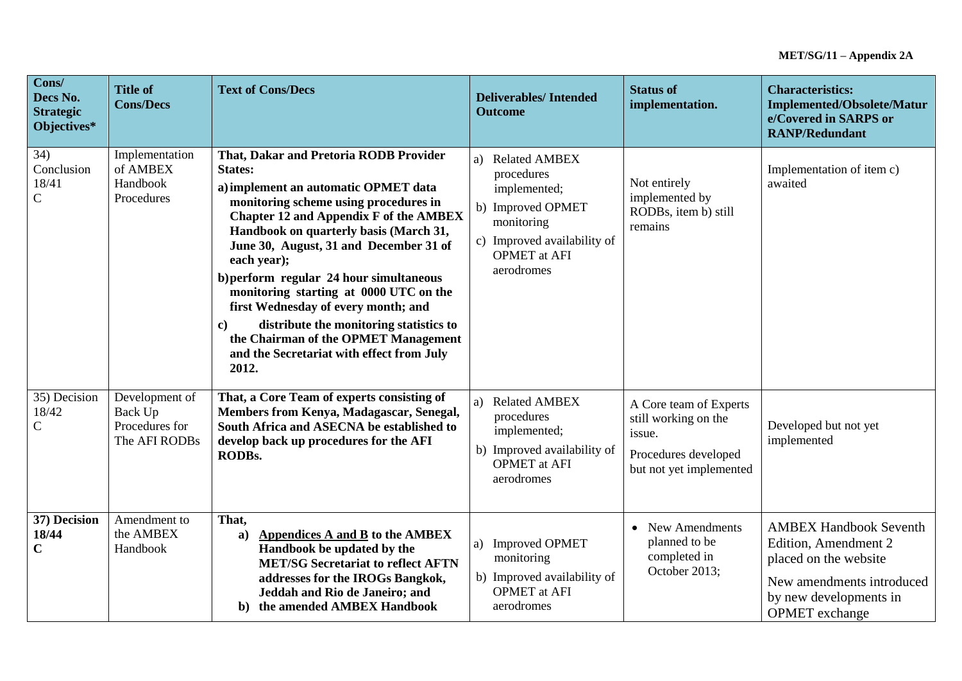| Cons/<br>Decs No.<br><b>Strategic</b><br>Objectives* | <b>Title of</b><br><b>Cons/Decs</b>                          | <b>Text of Cons/Decs</b>                                                                                                                                                                                                                                                                                                                                                                                                                                                                                                                                                       | <b>Deliverables/Intended</b><br><b>Outcome</b>                                                                                                                  | <b>Status of</b><br>implementation.                                                                         | <b>Characteristics:</b><br><b>Implemented/Obsolete/Matur</b><br>e/Covered in SARPS or<br><b>RANP/Redundant</b>                                                 |
|------------------------------------------------------|--------------------------------------------------------------|--------------------------------------------------------------------------------------------------------------------------------------------------------------------------------------------------------------------------------------------------------------------------------------------------------------------------------------------------------------------------------------------------------------------------------------------------------------------------------------------------------------------------------------------------------------------------------|-----------------------------------------------------------------------------------------------------------------------------------------------------------------|-------------------------------------------------------------------------------------------------------------|----------------------------------------------------------------------------------------------------------------------------------------------------------------|
| 34)<br>Conclusion<br>18/41<br>$\mathsf{C}$           | Implementation<br>of AMBEX<br>Handbook<br>Procedures         | That, Dakar and Pretoria RODB Provider<br><b>States:</b><br>a) implement an automatic OPMET data<br>monitoring scheme using procedures in<br><b>Chapter 12 and Appendix F of the AMBEX</b><br>Handbook on quarterly basis (March 31,<br>June 30, August, 31 and December 31 of<br>each year);<br>b) perform regular 24 hour simultaneous<br>monitoring starting at 0000 UTC on the<br>first Wednesday of every month; and<br>distribute the monitoring statistics to<br>$\bf c)$<br>the Chairman of the OPMET Management<br>and the Secretariat with effect from July<br>2012. | <b>Related AMBEX</b><br>a)<br>procedures<br>implemented;<br>b) Improved OPMET<br>monitoring<br>c) Improved availability of<br><b>OPMET</b> at AFI<br>aerodromes | Not entirely<br>implemented by<br>RODBs, item b) still<br>remains                                           | Implementation of item c)<br>awaited                                                                                                                           |
| 35) Decision<br>18/42<br>$\mathsf{C}$                | Development of<br>Back Up<br>Procedures for<br>The AFI RODBs | That, a Core Team of experts consisting of<br>Members from Kenya, Madagascar, Senegal,<br>South Africa and ASECNA be established to<br>develop back up procedures for the AFI<br><b>RODBs.</b>                                                                                                                                                                                                                                                                                                                                                                                 | <b>Related AMBEX</b><br>a)<br>procedures<br>implemented;<br>b) Improved availability of<br><b>OPMET</b> at AFI<br>aerodromes                                    | A Core team of Experts<br>still working on the<br>issue.<br>Procedures developed<br>but not yet implemented | Developed but not yet<br>implemented                                                                                                                           |
| 37) Decision<br>18/44<br>$\mathbf C$                 | Amendment to<br>the AMBEX<br>Handbook                        | That,<br>Appendices $A$ and $B$ to the AMBEX<br>a)<br>Handbook be updated by the<br><b>MET/SG Secretariat to reflect AFTN</b><br>addresses for the IROGs Bangkok,<br>Jeddah and Rio de Janeiro; and<br>b) the amended AMBEX Handbook                                                                                                                                                                                                                                                                                                                                           | <b>Improved OPMET</b><br>a)<br>monitoring<br>b) Improved availability of<br><b>OPMET</b> at AFI<br>aerodromes                                                   | • New Amendments<br>planned to be<br>completed in<br>October 2013;                                          | <b>AMBEX Handbook Seventh</b><br>Edition, Amendment 2<br>placed on the website<br>New amendments introduced<br>by new developments in<br><b>OPMET</b> exchange |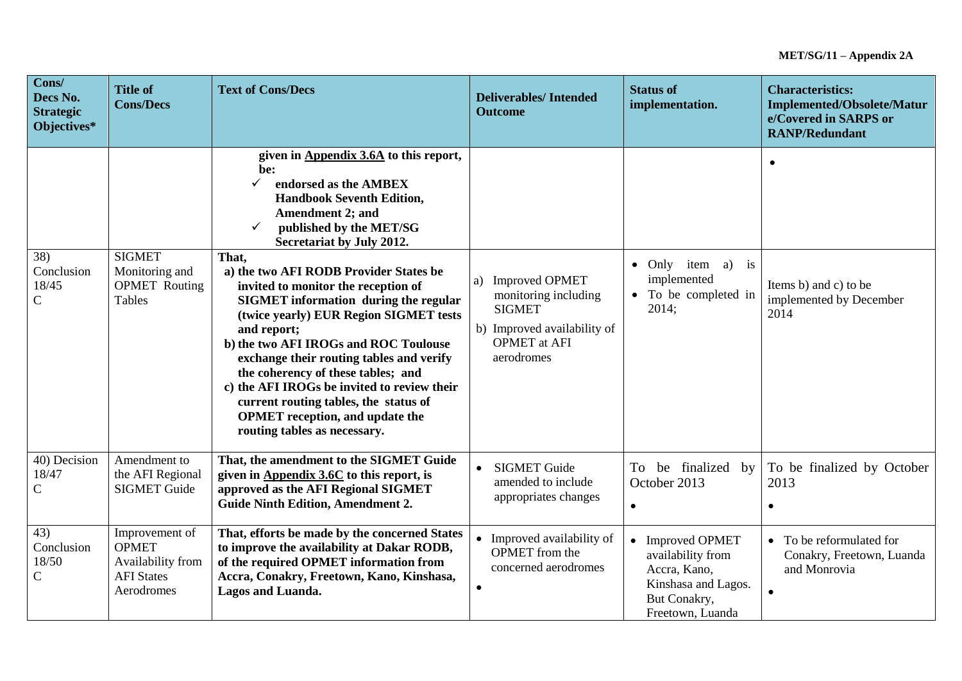| Cons/<br>Decs No.<br><b>Strategic</b><br>Objectives* | <b>Title of</b><br><b>Cons/Decs</b>                                                    | <b>Text of Cons/Decs</b>                                                                                                                                                                                                                                                                                                                                                                                                                                                            | <b>Deliverables/Intended</b><br><b>Outcome</b>                                                                                           | <b>Status of</b><br>implementation.                                                                              | <b>Characteristics:</b><br><b>Implemented/Obsolete/Matur</b><br>e/Covered in SARPS or<br><b>RANP/Redundant</b> |
|------------------------------------------------------|----------------------------------------------------------------------------------------|-------------------------------------------------------------------------------------------------------------------------------------------------------------------------------------------------------------------------------------------------------------------------------------------------------------------------------------------------------------------------------------------------------------------------------------------------------------------------------------|------------------------------------------------------------------------------------------------------------------------------------------|------------------------------------------------------------------------------------------------------------------|----------------------------------------------------------------------------------------------------------------|
| 38)                                                  | <b>SIGMET</b>                                                                          | given in Appendix 3.6A to this report,<br>be:<br>✓<br>endorsed as the AMBEX<br><b>Handbook Seventh Edition,</b><br><b>Amendment 2; and</b><br>published by the MET/SG<br>✓<br>Secretariat by July 2012.<br>That,                                                                                                                                                                                                                                                                    |                                                                                                                                          |                                                                                                                  |                                                                                                                |
| Conclusion<br>18/45<br>$\mathsf{C}$                  | Monitoring and<br><b>OPMET</b> Routing<br><b>Tables</b>                                | a) the two AFI RODB Provider States be<br>invited to monitor the reception of<br><b>SIGMET</b> information during the regular<br>(twice yearly) EUR Region SIGMET tests<br>and report;<br>b) the two AFI IROGs and ROC Toulouse<br>exchange their routing tables and verify<br>the coherency of these tables; and<br>c) the AFI IROGs be invited to review their<br>current routing tables, the status of<br><b>OPMET</b> reception, and update the<br>routing tables as necessary. | <b>Improved OPMET</b><br>a)<br>monitoring including<br><b>SIGMET</b><br>b) Improved availability of<br><b>OPMET</b> at AFI<br>aerodromes | $\bullet$ Only item a)<br>is<br>implemented<br>• To be completed in<br>2014;                                     | Items b) and c) to be<br>implemented by December<br>2014                                                       |
| 40) Decision<br>18/47<br>$\mathsf{C}$                | Amendment to<br>the AFI Regional<br><b>SIGMET Guide</b>                                | That, the amendment to the SIGMET Guide<br>given in Appendix $3.6C$ to this report, is<br>approved as the AFI Regional SIGMET<br><b>Guide Ninth Edition, Amendment 2.</b>                                                                                                                                                                                                                                                                                                           | <b>SIGMET Guide</b><br>$\bullet$<br>amended to include<br>appropriates changes                                                           | be finalized by<br>To<br>October 2013<br>$\bullet$                                                               | To be finalized by October<br>2013<br>$\bullet$                                                                |
| 43)<br>Conclusion<br>18/50<br>$\mathsf{C}$           | Improvement of<br><b>OPMET</b><br>Availability from<br><b>AFI</b> States<br>Aerodromes | That, efforts be made by the concerned States<br>to improve the availability at Dakar RODB,<br>of the required OPMET information from<br>Accra, Conakry, Freetown, Kano, Kinshasa,<br>Lagos and Luanda.                                                                                                                                                                                                                                                                             | • Improved availability of<br>OPMET from the<br>concerned aerodromes                                                                     | • Improved OPMET<br>availability from<br>Accra, Kano,<br>Kinshasa and Lagos.<br>But Conakry,<br>Freetown, Luanda | To be reformulated for<br>$\bullet$<br>Conakry, Freetown, Luanda<br>and Monrovia<br>$\bullet$                  |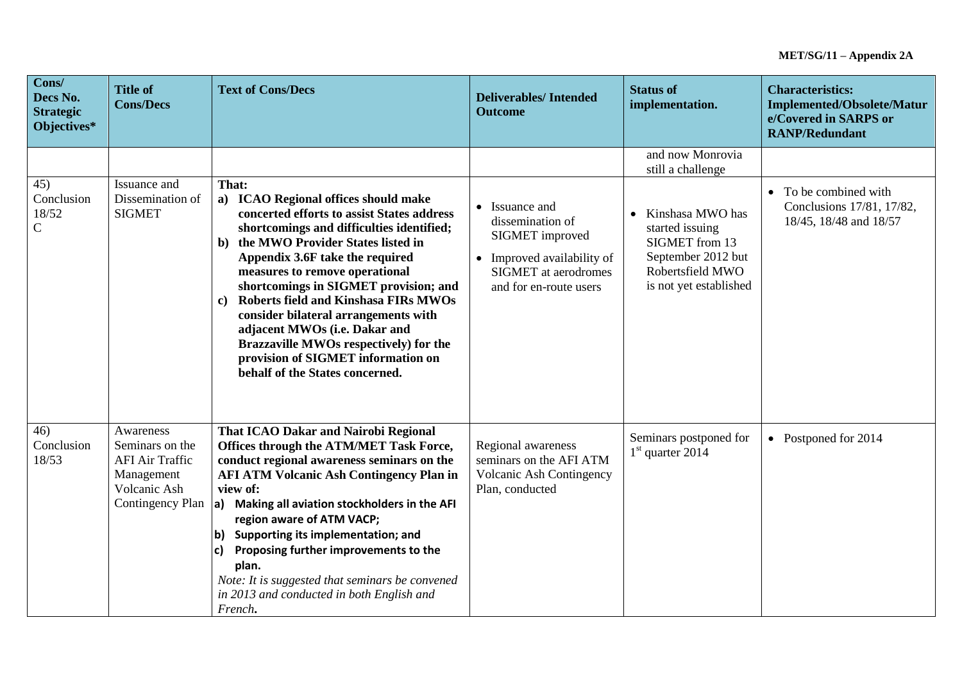| Cons/<br>Decs No.<br><b>Strategic</b><br>Objectives* | <b>Title of</b><br><b>Cons/Decs</b>                                                                             | <b>Text of Cons/Decs</b>                                                                                                                                                                                                                                                                                                                                                                                                                                                                                                                                  | <b>Deliverables/Intended</b><br><b>Outcome</b>                                                                                               | <b>Status of</b><br>implementation.                                                                                       | <b>Characteristics:</b><br><b>Implemented/Obsolete/Matur</b><br>e/Covered in SARPS or<br><b>RANP/Redundant</b> |
|------------------------------------------------------|-----------------------------------------------------------------------------------------------------------------|-----------------------------------------------------------------------------------------------------------------------------------------------------------------------------------------------------------------------------------------------------------------------------------------------------------------------------------------------------------------------------------------------------------------------------------------------------------------------------------------------------------------------------------------------------------|----------------------------------------------------------------------------------------------------------------------------------------------|---------------------------------------------------------------------------------------------------------------------------|----------------------------------------------------------------------------------------------------------------|
|                                                      |                                                                                                                 |                                                                                                                                                                                                                                                                                                                                                                                                                                                                                                                                                           |                                                                                                                                              | and now Monrovia<br>still a challenge                                                                                     |                                                                                                                |
| 45)<br>Conclusion<br>18/52<br>$\mathsf{C}$           | Issuance and<br>Dissemination of<br><b>SIGMET</b>                                                               | That:<br>a) ICAO Regional offices should make<br>concerted efforts to assist States address<br>shortcomings and difficulties identified;<br>b) the MWO Provider States listed in<br>Appendix 3.6F take the required<br>measures to remove operational<br>shortcomings in SIGMET provision; and<br><b>Roberts field and Kinshasa FIRs MWOs</b><br>$\mathbf{c}$<br>consider bilateral arrangements with<br>adjacent MWOs (i.e. Dakar and<br>Brazzaville MWOs respectively) for the<br>provision of SIGMET information on<br>behalf of the States concerned. | • Issuance and<br>dissemination of<br>SIGMET improved<br>• Improved availability of<br><b>SIGMET</b> at aerodromes<br>and for en-route users | Kinshasa MWO has<br>started issuing<br>SIGMET from 13<br>September 2012 but<br>Robertsfield MWO<br>is not yet established | To be combined with<br>$\bullet$<br>Conclusions 17/81, 17/82,<br>18/45, 18/48 and 18/57                        |
| 46)<br>Conclusion<br>18/53                           | Awareness<br>Seminars on the<br><b>AFI Air Traffic</b><br>Management<br>Volcanic Ash<br><b>Contingency Plan</b> | <b>That ICAO Dakar and Nairobi Regional</b><br>Offices through the ATM/MET Task Force,<br>conduct regional awareness seminars on the<br><b>AFI ATM Volcanic Ash Contingency Plan in</b><br>view of:<br>a) Making all aviation stockholders in the AFI<br>region aware of ATM VACP;<br>Supporting its implementation; and<br>b)<br>Proposing further improvements to the<br>c)<br>plan.<br>Note: It is suggested that seminars be convened<br>in 2013 and conducted in both English and<br>French.                                                         | Regional awareness<br>seminars on the AFI ATM<br><b>Volcanic Ash Contingency</b><br>Plan, conducted                                          | Seminars postponed for<br>$1st$ quarter 2014                                                                              | Postponed for 2014<br>$\bullet$                                                                                |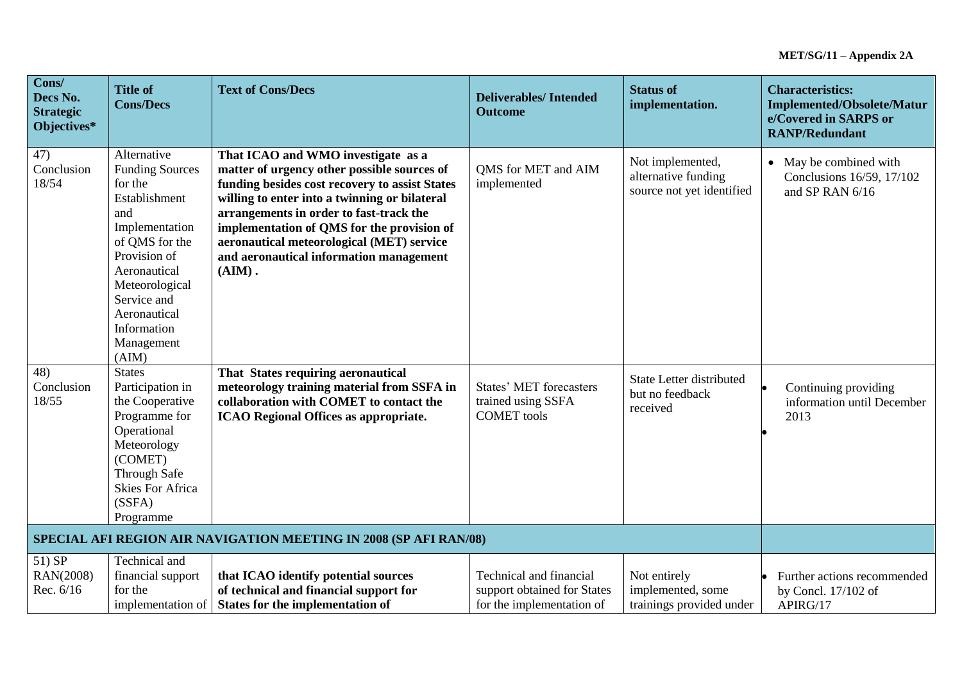| Cons/<br>Decs No.<br><b>Strategic</b><br>Objectives*                     | <b>Title of</b><br><b>Cons/Decs</b>                                                                                                                                                                                                 | <b>Text of Cons/Decs</b>                                                                                                                                                                                                                                                                                                                                                           | <b>Deliverables/Intended</b><br><b>Outcome</b>                                      | <b>Status of</b><br>implementation.                                  | <b>Characteristics:</b><br><b>Implemented/Obsolete/Matur</b><br>e/Covered in SARPS or<br><b>RANP/Redundant</b> |
|--------------------------------------------------------------------------|-------------------------------------------------------------------------------------------------------------------------------------------------------------------------------------------------------------------------------------|------------------------------------------------------------------------------------------------------------------------------------------------------------------------------------------------------------------------------------------------------------------------------------------------------------------------------------------------------------------------------------|-------------------------------------------------------------------------------------|----------------------------------------------------------------------|----------------------------------------------------------------------------------------------------------------|
| 47)<br>Conclusion<br>18/54                                               | Alternative<br><b>Funding Sources</b><br>for the<br>Establishment<br>and<br>Implementation<br>of QMS for the<br>Provision of<br>Aeronautical<br>Meteorological<br>Service and<br>Aeronautical<br>Information<br>Management<br>(AIM) | That ICAO and WMO investigate as a<br>matter of urgency other possible sources of<br>funding besides cost recovery to assist States<br>willing to enter into a twinning or bilateral<br>arrangements in order to fast-track the<br>implementation of QMS for the provision of<br>aeronautical meteorological (MET) service<br>and aeronautical information management<br>$(AIM)$ . | <b>QMS</b> for MET and AIM<br>implemented                                           | Not implemented,<br>alternative funding<br>source not yet identified | May be combined with<br>$\bullet$<br>Conclusions 16/59, 17/102<br>and SP RAN $6/16$                            |
| 48)<br>Conclusion<br>18/55                                               | <b>States</b><br>Participation in<br>the Cooperative<br>Programme for<br>Operational<br>Meteorology<br>(COMET)<br><b>Through Safe</b><br><b>Skies For Africa</b><br>(SSFA)<br>Programme                                             | That States requiring aeronautical<br>meteorology training material from SSFA in<br>collaboration with COMET to contact the<br><b>ICAO Regional Offices as appropriate.</b>                                                                                                                                                                                                        | <b>States' MET forecasters</b><br>trained using SSFA<br><b>COMET</b> tools          | State Letter distributed<br>but no feedback<br>received              | Continuing providing<br>information until December<br>2013                                                     |
| <b>SPECIAL AFI REGION AIR NAVIGATION MEETING IN 2008 (SP AFI RAN/08)</b> |                                                                                                                                                                                                                                     |                                                                                                                                                                                                                                                                                                                                                                                    |                                                                                     |                                                                      |                                                                                                                |
| 51) SP<br>RAN(2008)<br>Rec. 6/16                                         | Technical and<br>financial support<br>for the<br>implementation of                                                                                                                                                                  | that ICAO identify potential sources<br>of technical and financial support for<br><b>States for the implementation of</b>                                                                                                                                                                                                                                                          | Technical and financial<br>support obtained for States<br>for the implementation of | Not entirely<br>implemented, some<br>trainings provided under        | Further actions recommended<br>by Concl. 17/102 of<br>APIRG/17                                                 |